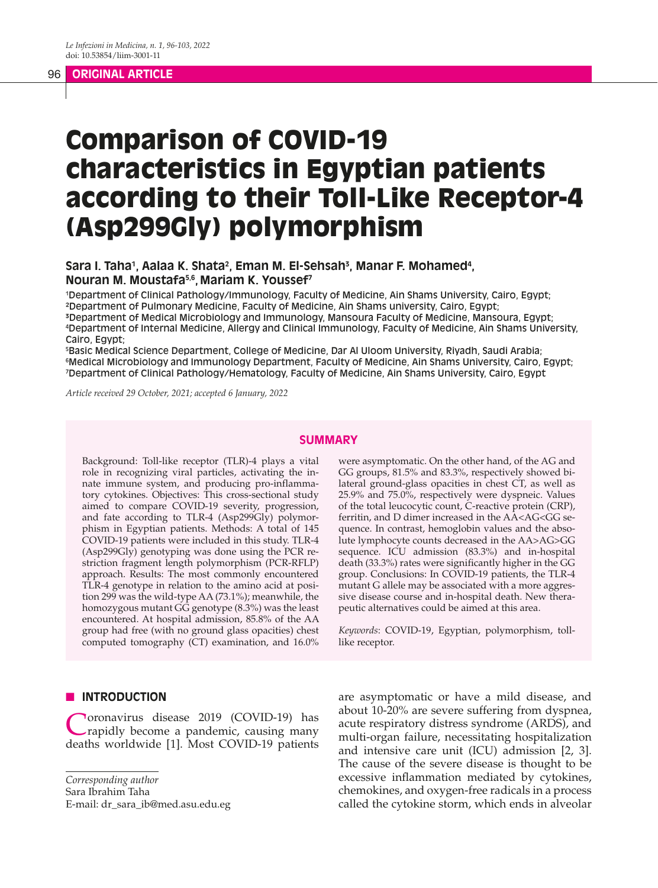# 96 **ORIGINAL ARTICLE**

# Comparison of COVID-19 characteristics in Egyptian patients according to their Toll-Like Receptor-4 (Asp299Gly) polymorphism

# Sara I. Taha<sup>1</sup>, Aalaa K. Shata<sup>2</sup>, Eman M. El-Sehsah<sup>3</sup>, Manar F. Mohamed<sup>4</sup>, **Nouran M. Moustafa5,6, Mariam K. Youssef7**

1 Department of Clinical Pathology/Immunology, Faculty of Medicine, Ain Shams University, Cairo, Egypt; ²Department of Pulmonary Medicine, Faculty of Medicine, Ain Shams university, Cairo, Egypt; ³Department of Medical Microbiology and Immunology, Mansoura Faculty of Medicine, Mansoura, Egypt; 4 Department of Internal Medicine, Allergy and Clinical Immunology, Faculty of Medicine, Ain Shams University, Cairo, Egypt;

5 Basic Medical Science Department, College of Medicine, Dar Al Uloom University, Riyadh, Saudi Arabia;  $^{\rm 6}$ Medical Microbiology and Immunology Department, Faculty of Medicine, Ain Shams University, Cairo, Egypt; 7 Department of Clinical Pathology/Hematology, Faculty of Medicine, Ain Shams University, Cairo, Egypt

*Article received 29 October, 2021; accepted 6 January, 2022*

#### **SUMMARY**

Background: Toll-like receptor (TLR)-4 plays a vital role in recognizing viral particles, activating the innate immune system, and producing pro-inflammatory cytokines. Objectives: This cross-sectional study aimed to compare COVID-19 severity, progression, and fate according to TLR-4 (Asp299Gly) polymorphism in Egyptian patients. Methods: A total of 145 COVID-19 patients were included in this study. TLR-4 (Asp299Gly) genotyping was done using the PCR restriction fragment length polymorphism (PCR-RFLP) approach. Results: The most commonly encountered TLR-4 genotype in relation to the amino acid at position 299 was the wild-type AA (73.1%); meanwhile, the homozygous mutant GG genotype (8.3%) was the least encountered. At hospital admission, 85.8% of the AA group had free (with no ground glass opacities) chest computed tomography (CT) examination, and 16.0% were asymptomatic. On the other hand, of the AG and GG groups, 81.5% and 83.3%, respectively showed bilateral ground-glass opacities in chest CT, as well as 25.9% and 75.0%, respectively were dyspneic. Values of the total leucocytic count, C-reactive protein (CRP), ferritin, and D dimer increased in the AA<AG<GG sequence. In contrast, hemoglobin values and the absolute lymphocyte counts decreased in the AA>AG>GG sequence. ICU admission (83.3%) and in-hospital death (33.3%) rates were significantly higher in the GG group. Conclusions: In COVID-19 patients, the TLR-4 mutant G allele may be associated with a more aggressive disease course and in-hospital death. New therapeutic alternatives could be aimed at this area.

*Keywords*: COVID-19, Egyptian, polymorphism, tolllike receptor.

# **N INTRODUCTION**

Coronavirus disease 2019 (COVID-19) has rapidly become a pandemic, causing many deaths worldwide [1]. Most COVID-19 patients

*Corresponding author*

Sara Ibrahim Taha

E-mail: dr\_sara\_ib@med.asu.edu.eg

are asymptomatic or have a mild disease, and about 10-20% are severe suffering from dyspnea, acute respiratory distress syndrome (ARDS), and multi-organ failure, necessitating hospitalization and intensive care unit (ICU) admission [2, 3]. The cause of the severe disease is thought to be excessive inflammation mediated by cytokines, chemokines, and oxygen-free radicals in a process called the cytokine storm, which ends in alveolar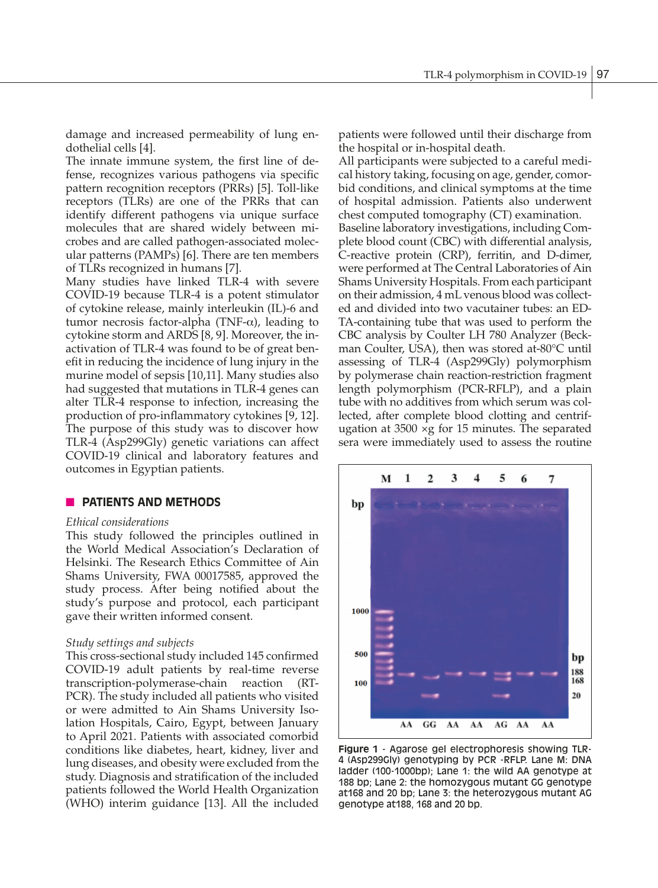damage and increased permeability of lung endothelial cells [4].

The innate immune system, the first line of defense, recognizes various pathogens via specific pattern recognition receptors (PRRs) [5]. Toll-like receptors (TLRs) are one of the PRRs that can identify different pathogens via unique surface molecules that are shared widely between microbes and are called pathogen-associated molecular patterns (PAMPs) [6]. There are ten members of TLRs recognized in humans [7].

Many studies have linked TLR-4 with severe COVID-19 because TLR-4 is a potent stimulator of cytokine release, mainly interleukin (IL)-6 and tumor necrosis factor-alpha (TNF-α), leading to cytokine storm and ARDS [8, 9]. Moreover, the inactivation of TLR-4 was found to be of great benefit in reducing the incidence of lung injury in the murine model of sepsis [10,11]. Many studies also had suggested that mutations in TLR-4 genes can alter TLR-4 response to infection, increasing the production of pro-inflammatory cytokines [9, 12]. The purpose of this study was to discover how TLR-4 (Asp299Gly) genetic variations can affect COVID-19 clinical and laboratory features and outcomes in Egyptian patients.

# **N** PATIENTS AND METHODS

### *Ethical considerations*

This study followed the principles outlined in the World Medical Association's Declaration of Helsinki. The Research Ethics Committee of Ain Shams University, FWA 00017585, approved the study process. After being notified about the study's purpose and protocol, each participant gave their written informed consent.

### *Study settings and subjects*

This cross-sectional study included 145 confirmed COVID-19 adult patients by real-time reverse transcription-polymerase-chain reaction (RT-PCR). The study included all patients who visited or were admitted to Ain Shams University Isolation Hospitals, Cairo, Egypt, between January to April 2021. Patients with associated comorbid conditions like diabetes, heart, kidney, liver and lung diseases, and obesity were excluded from the study. Diagnosis and stratification of the included patients followed the World Health Organization (WHO) interim guidance [13]. All the included patients were followed until their discharge from the hospital or in-hospital death.

All participants were subjected to a careful medical history taking, focusing on age, gender, comorbid conditions, and clinical symptoms at the time of hospital admission. Patients also underwent chest computed tomography (CT) examination. Baseline laboratory investigations, including Complete blood count (CBC) with differential analysis, C-reactive protein (CRP), ferritin, and D-dimer, were performed at The Central Laboratories of Ain Shams University Hospitals. From each participant on their admission, 4 mL venous blood was collected and divided into two vacutainer tubes: an ED-TA-containing tube that was used to perform the CBC analysis by Coulter LH 780 Analyzer (Beckman Coulter, USA), then was stored at-80°C until assessing of TLR-4 (Asp299Gly) polymorphism by polymerase chain reaction-restriction fragment length polymorphism (PCR-RFLP), and a plain tube with no additives from which serum was collected, after complete blood clotting and centrifugation at  $3500 \times g$  for 15 minutes. The separated sera were immediately used to assess the routine



**Figure 1** - Agarose gel electrophoresis showing TLR-4 (Asp299Gly) genotyping by PCR -RFLP. Lane M: DNA ladder (100-1000bp); Lane 1: the wild AA genotype at 188 bp; Lane 2: the homozygous mutant GG genotype at168 and 20 bp; Lane 3: the heterozygous mutant AG genotype at188, 168 and 20 bp.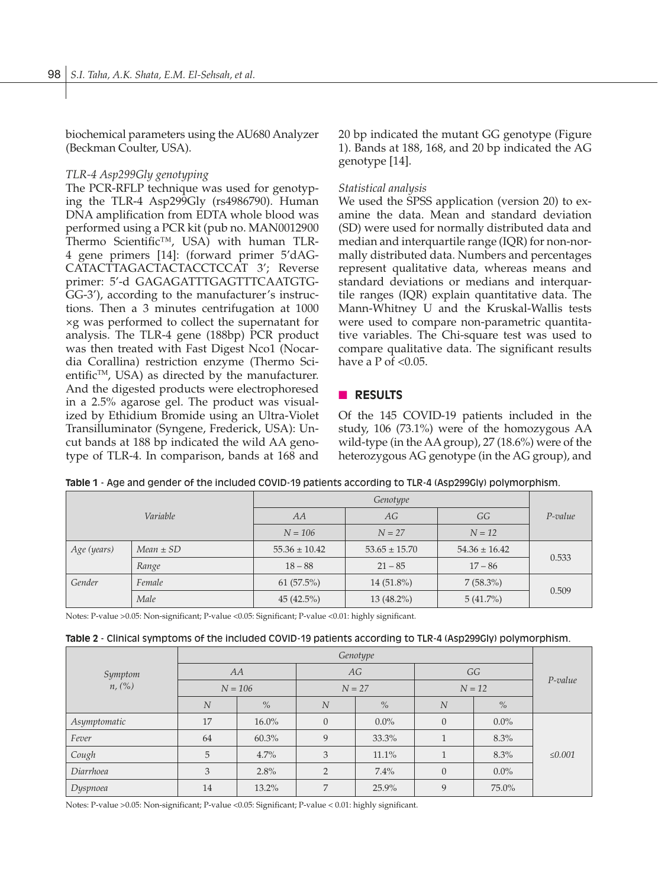biochemical parameters using the AU680 Analyzer (Beckman Coulter, USA).

# *TLR-4 Asp299Gly genotyping*

The PCR-RFLP technique was used for genotyping the TLR-4 Asp299Gly (rs4986790). Human DNA amplification from EDTA whole blood was performed using a PCR kit (pub no. MAN0012900 Thermo Scientific™, USA) with human TLR-4 gene primers [14]: (forward primer 5'dAG-CATACTTAGACTACTACCTCCAT 3'; Reverse primer: 5'-d GAGAGATTTGAGTTTCAATGTG-GG-3'), according to the manufacturer's instructions. Then a 3 minutes centrifugation at 1000 ×g was performed to collect the supernatant for analysis. The TLR-4 gene (188bp) PCR product was then treated with Fast Digest Nco1 (Nocardia Corallina) restriction enzyme (Thermo Scientific<sup>TM</sup>, USA) as directed by the manufacturer. And the digested products were electrophoresed in a 2.5% agarose gel. The product was visualized by Ethidium Bromide using an Ultra-Violet Transilluminator (Syngene, Frederick, USA): Uncut bands at 188 bp indicated the wild AA genotype of TLR-4. In comparison, bands at 168 and 20 bp indicated the mutant GG genotype (Figure 1). Bands at 188, 168, and 20 bp indicated the AG genotype [14].

# *Statistical analysis*

We used the SPSS application (version 20) to examine the data. Mean and standard deviation (SD) were used for normally distributed data and median and interquartile range (IQR) for non-normally distributed data. Numbers and percentages represent qualitative data, whereas means and standard deviations or medians and interquartile ranges (IQR) explain quantitative data. The Mann-Whitney U and the Kruskal-Wallis tests were used to compare non-parametric quantitative variables. The Chi-square test was used to compare qualitative data. The significant results have a  $P$  of  $< 0.05$ .

# **n RESULTS**

Of the 145 COVID-19 patients included in the study, 106 (73.1%) were of the homozygous AA wild-type (in the AA group), 27 (18.6%) were of the heterozygous AG genotype (in the AG group), and

|  | Table 1 - Age and gender of the included COVID-19 patients according to TLR-4 (Asp299Gly) polymorphism. |  |
|--|---------------------------------------------------------------------------------------------------------|--|
|  |                                                                                                         |  |

|                              | Variable | AA                | AG                | GG                | $P$ -value |  |
|------------------------------|----------|-------------------|-------------------|-------------------|------------|--|
|                              |          | $N = 106$         | $N = 27$          | $N = 12$          |            |  |
| Age (years)<br>$Mean \pm SD$ |          | $55.36 \pm 10.42$ | $53.65 \pm 15.70$ | $54.36 \pm 16.42$ | 0.533      |  |
|                              | Range    | $18 - 88$         | $21 - 85$         | $17 - 86$         |            |  |
| Gender                       | Female   | 61(57.5%)         | $14(51.8\%)$      | $7(58.3\%)$       | 0.509      |  |
|                              | Male     | 45(42.5%)         | $13(48.2\%)$      | $5(41.7\%)$       |            |  |

Notes: P-value >0.05: Non-significant; P-value <0.05: Significant; P-value <0.01: highly significant.

|  |  |  |  |  | Table 2 - Clinical symptoms of the included COVID-19 patients according to TLR-4 (Asp299Gly) polymorphism. |
|--|--|--|--|--|------------------------------------------------------------------------------------------------------------|
|--|--|--|--|--|------------------------------------------------------------------------------------------------------------|

|              | Genotype         |               |                |         |          |         |              |
|--------------|------------------|---------------|----------------|---------|----------|---------|--------------|
| Symptom      | AA               |               | AG             |         | GG       |         | $P$ -value   |
| n, (%)       | $N = 106$        |               | $N = 27$       |         | $N = 12$ |         |              |
|              | $\boldsymbol{N}$ | $\frac{9}{6}$ | N              | $\%$    | N        | $\%$    |              |
| Asymptomatic | 17               | $16.0\%$      | $\overline{0}$ | $0.0\%$ | $\theta$ | $0.0\%$ |              |
| Fever        | 64               | 60.3%         | 9              | 33.3%   |          | 8.3%    |              |
| Cough        | 5                | 4.7%          | 3              | 11.1%   |          | 8.3%    | $\leq 0.001$ |
| Diarrhoea    | 3                | 2.8%          | $\overline{2}$ | 7.4%    | $\theta$ | $0.0\%$ |              |
| Dyspnoea     | 14               | 13.2%         | $\overline{7}$ | 25.9%   | 9        | 75.0%   |              |

Notes: P-value >0.05: Non-significant; P-value <0.05: Significant; P-value < 0.01: highly significant.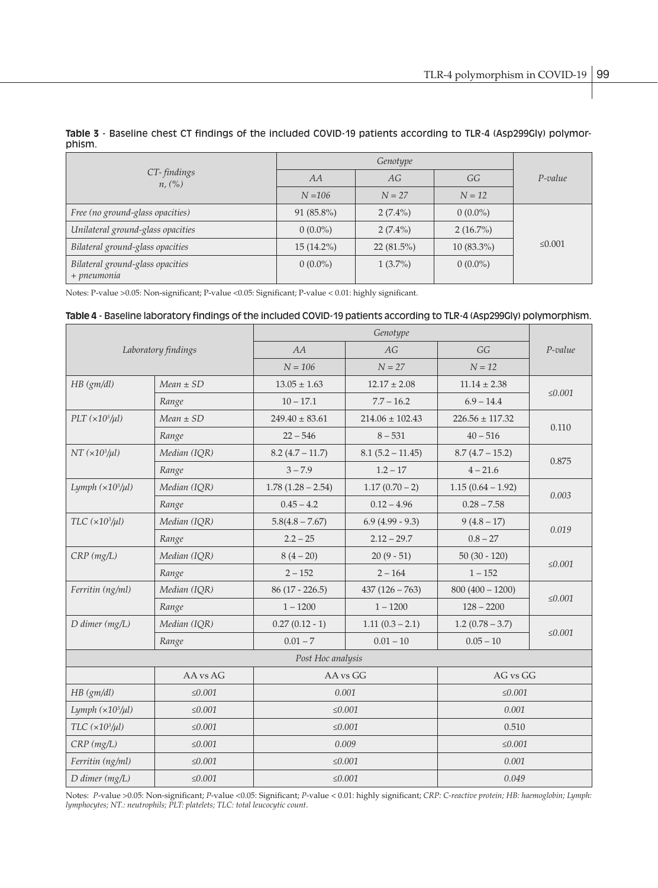| CT-findings<br>n, (%)                           | AA           | AG           | GG           | $P$ -value |
|-------------------------------------------------|--------------|--------------|--------------|------------|
|                                                 | $N = 106$    | $N = 27$     | $N = 12$     |            |
| Free (no ground-glass opacities)                | $91(85.8\%)$ | $2(7.4\%)$   | $0(0.0\%)$   |            |
| Unilateral ground-glass opacities               | $0(0.0\%)$   | $2(7.4\%)$   | $2(16.7\%)$  |            |
| Bilateral ground-glass opacities                | $15(14.2\%)$ | $22(81.5\%)$ | $10(83.3\%)$ | ≤ 0.001    |
| Bilateral ground-glass opacities<br>+ pneumonia | $0(0.0\%)$   | $1(3.7\%)$   | $0(0.0\%)$   |            |

## **Table 3** - Baseline chest CT findings of the included COVID-19 patients according to TLR-4 (Asp299Gly) polymorphism.

Notes: P-value >0.05: Non-significant; P-value <0.05: Significant; P-value < 0.01: highly significant.

#### **Table 4** - Baseline laboratory findings of the included COVID-19 patients according to TLR-4 (Asp299Gly) polymorphism.

|                                         | Laboratory findings | AA                  | AG                  | GG                  | $P$ -value   |  |
|-----------------------------------------|---------------------|---------------------|---------------------|---------------------|--------------|--|
|                                         |                     | $N = 106$           | $N = 27$            | $N = 12$            |              |  |
| $HB \, (gm/dl)$                         | $Mean \pm SD$       | $13.05 \pm 1.63$    | $12.17 \pm 2.08$    | $11.14 \pm 2.38$    | $\leq 0.001$ |  |
|                                         | Range               | $10 - 17.1$         | $7.7 - 16.2$        | $6.9 - 14.4$        |              |  |
| $PLT \left( \times 10^3/\mu l \right)$  | $Mean \pm SD$       | $249.40 \pm 83.61$  | $214.06 \pm 102.43$ | $226.56 \pm 117.32$ |              |  |
|                                         | Range               | $22 - 546$          | $8 - 531$           | $40 - 516$          | 0.110        |  |
| $NT \left( \times 10^3 / \mu l \right)$ | Median (IQR)        | $8.2(4.7 - 11.7)$   | $8.1(5.2 - 11.45)$  | $8.7(4.7 - 15.2)$   |              |  |
|                                         | Range               | $3 - 7.9$           | $1.2 - 17$          | $4 - 21.6$          | 0.875        |  |
| Lymph $(\times 10^3/\mu l)$             | Median (IQR)        | $1.78(1.28 - 2.54)$ | $1.17(0.70-2)$      | $1.15(0.64 - 1.92)$ |              |  |
|                                         | Range               | $0.45 - 4.2$        | $0.12 - 4.96$       | $0.28 - 7.58$       | 0.003        |  |
| $TLC \left(\times 10^3/\mu l\right)$    | Median (IQR)        | $5.8(4.8 - 7.67)$   | $6.9(4.99-9.3)$     | $9(4.8-17)$         | 0.019        |  |
|                                         | Range               | $2.2 - 25$          | $2.12 - 29.7$       | $0.8 - 27$          |              |  |
| $CRP$ ( $mg/L$ )                        | Median (IQR)        | $8(4-20)$           | $20(9-51)$          | $50(30 - 120)$      | $\leq 0.001$ |  |
|                                         | Range               | $2 - 152$           | $2 - 164$           | $1 - 152$           |              |  |
| Ferritin (ng/ml)                        | Median (IQR)        | $86(17 - 226.5)$    | $437(126 - 763)$    | $800(400 - 1200)$   |              |  |
|                                         | Range               | $1 - 1200$          | $1 - 1200$          | $128 - 2200$        | $\leq 0.001$ |  |
| $D$ dimer (mg/L)                        | Median (IQR)        | $0.27(0.12 - 1)$    | $1.11(0.3 - 2.1)$   | $1.2(0.78-3.7)$     | $\leq 0.001$ |  |
|                                         | Range               | $0.01 - 7$          | $0.01 - 10$         | $0.05 - 10$         |              |  |
|                                         |                     | Post Hoc analysis   |                     |                     |              |  |
|                                         | AA vs AG            |                     | AA vs GG            | AG vs GG            |              |  |
| $HB \, (gm/dl)$                         | $\leq 0.001$        |                     | 0.001               | $\leq 0.001$        |              |  |
| Lymph $(\times 10^3/\mu l)$             | $\leq 0.001$        |                     | $\leq 0.001$        | 0.001               |              |  |
| $TLC$ ( $\times 10^3/\mu l$ )           | $\leq 0.001$        |                     | $\leq 0.001$        | 0.510               |              |  |
| $CRP$ ( $mg/L$ )                        | $\leq 0.001$        |                     | 0.009               | $\leq 0.001$        |              |  |
| Ferritin (ng/ml)                        | ≤0.001              |                     | $\leq 0.001$        | 0.001               |              |  |
| $D$ dimer (mg/L)<br>$\leq 0.001$        |                     |                     | $\leq 0.001$        | 0.049               |              |  |

Notes: *P*-value >0.05: Non-significant; *P*-value <0.05: Significant; *P*-value < 0.01: highly significant; *CRP: C-reactive protein; HB: haemoglobin; Lymph: lymphocytes; NT.: neutrophils; PLT: platelets; TLC: total leucocytic count*.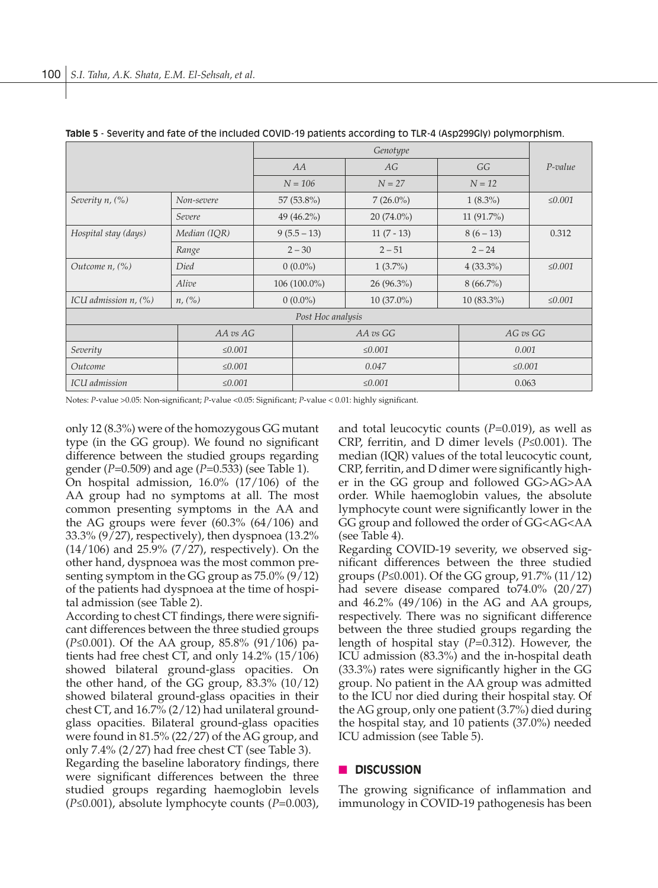|                            | Genotype          |                |               |              |          |              |              |
|----------------------------|-------------------|----------------|---------------|--------------|----------|--------------|--------------|
|                            | AA                |                | AG            |              | GG       | $P$ -value   |              |
|                            |                   | $N = 106$      | $N = 27$      |              | $N = 12$ |              |              |
| Severity n, (%)            | Non-severe        | 57 (53.8%)     |               | $7(26.0\%)$  |          | $1(8.3\%)$   | $\leq 0.001$ |
|                            | Severe            |                | 49 $(46.2\%)$ | $20(74.0\%)$ |          | $11(91.7\%)$ |              |
| Hospital stay (days)       | Median (IQR)      | $9(5.5-13)$    |               | $11(7-13)$   |          |              | 0.312        |
|                            | Range             | $2 - 30$       |               | $2 - 51$     |          |              |              |
| Outcome $n$ , $(\%)$       | Died              | $0(0.0\%)$     |               | $1(3.7\%)$   |          | $4(33.3\%)$  | $\leq 0.001$ |
|                            | Alive             | $106(100.0\%)$ |               | $26(96.3\%)$ |          | $8(66.7\%)$  |              |
| ICU admission $n$ , $(\%)$ | n, (%)            | $0(0.0\%)$     |               | $10(37.0\%)$ |          | $10(83.3\%)$ | $\leq 0.001$ |
|                            | Post Hoc analysis |                |               |              |          |              |              |
| AA vs AG                   |                   |                |               | AA vs GG     |          | AG vs GG     |              |
| Severity<br>≤ 0.001        |                   |                | ≤ 0.001       |              |          | 0.001        |              |
| $\leq 0.001$<br>Outcome    |                   |                | 0.047         |              |          | $\leq 0.001$ |              |
| ICU admission              |                   | $\leq 0.001$   |               | 0.063        |          |              |              |

**Table 5** - Severity and fate of the included COVID-19 patients according to TLR-4 (Asp299Gly) polymorphism.

Notes: *P*-value >0.05: Non-significant; *P*-value <0.05: Significant; *P*-value < 0.01: highly significant.

only 12 (8.3%) were of the homozygous GG mutant type (in the GG group). We found no significant difference between the studied groups regarding gender (*P*=0.509) and age (*P*=0.533) (see Table 1).

On hospital admission, 16.0% (17/106) of the AA group had no symptoms at all. The most common presenting symptoms in the AA and the AG groups were fever (60.3% (64/106) and 33.3% (9/27), respectively), then dyspnoea (13.2% (14/106) and 25.9% (7/27), respectively). On the other hand, dyspnoea was the most common presenting symptom in the GG group as 75.0% (9/12) of the patients had dyspnoea at the time of hospital admission (see Table 2).

According to chest CT findings, there were significant differences between the three studied groups (*P*≤0.001). Of the AA group, 85.8% (91/106) patients had free chest CT, and only 14.2% (15/106) showed bilateral ground-glass opacities. On the other hand, of the GG group, 83.3% (10/12) showed bilateral ground-glass opacities in their chest CT, and 16.7% (2/12) had unilateral groundglass opacities. Bilateral ground-glass opacities were found in 81.5% (22/27) of the AG group, and only 7.4% (2/27) had free chest CT (see Table 3).

Regarding the baseline laboratory findings, there were significant differences between the three studied groups regarding haemoglobin levels (*P*≤0.001), absolute lymphocyte counts (*P*=0.003), and total leucocytic counts (*P*=0.019), as well as CRP, ferritin, and D dimer levels (*P*≤0.001). The median (IQR) values of the total leucocytic count, CRP, ferritin, and D dimer were significantly higher in the GG group and followed GG>AG>AA order. While haemoglobin values, the absolute lymphocyte count were significantly lower in the GG group and followed the order of GG<AG<AA (see Table 4).

Regarding COVID-19 severity, we observed significant differences between the three studied groups (*P*≤0.001). Of the GG group, 91.7% (11/12) had severe disease compared to74.0% (20/27) and 46.2% (49/106) in the AG and AA groups, respectively. There was no significant difference between the three studied groups regarding the length of hospital stay (*P*=0.312). However, the ICU admission (83.3%) and the in-hospital death (33.3%) rates were significantly higher in the GG group. No patient in the AA group was admitted to the ICU nor died during their hospital stay. Of the AG group, only one patient (3.7%) died during the hospital stay, and 10 patients (37.0%) needed ICU admission (see Table 5).

# n **DISCUSSION**

The growing significance of inflammation and immunology in COVID-19 pathogenesis has been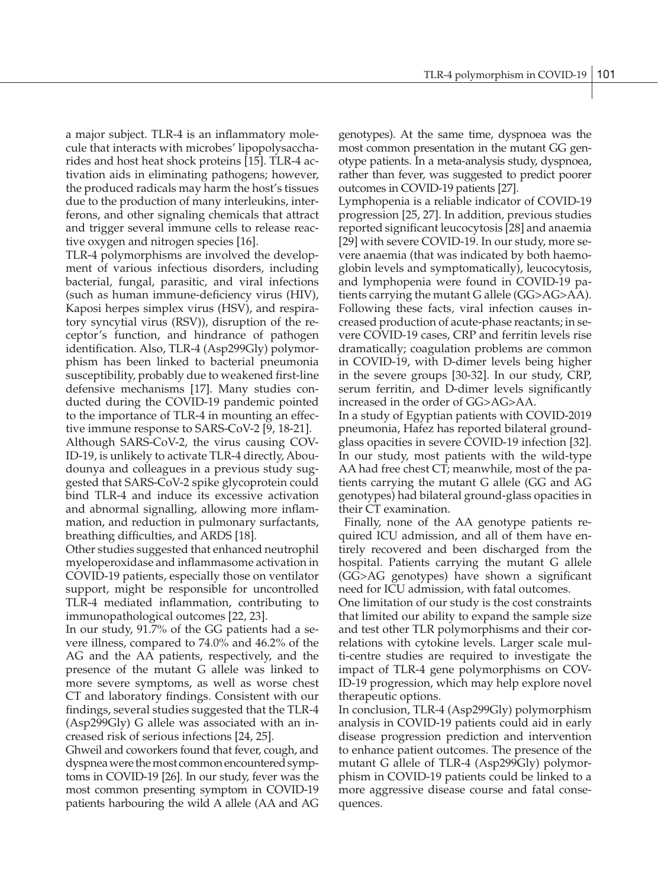a major subject. TLR-4 is an inflammatory molecule that interacts with microbes' lipopolysaccharides and host heat shock proteins [15]. TLR-4 activation aids in eliminating pathogens; however, the produced radicals may harm the host's tissues due to the production of many interleukins, interferons, and other signaling chemicals that attract and trigger several immune cells to release reactive oxygen and nitrogen species [16].

TLR-4 polymorphisms are involved the development of various infectious disorders, including bacterial, fungal, parasitic, and viral infections (such as human immune-deficiency virus (HIV), Kaposi herpes simplex virus (HSV), and respiratory syncytial virus (RSV)), disruption of the receptor's function, and hindrance of pathogen identification. Also, TLR-4 (Asp299Gly) polymorphism has been linked to bacterial pneumonia susceptibility, probably due to weakened first-line defensive mechanisms [17]. Many studies conducted during the COVID-19 pandemic pointed to the importance of TLR-4 in mounting an effective immune response to SARS-CoV-2 [9, 18-21].

Although SARS-CoV-2, the virus causing COV-ID-19, is unlikely to activate TLR-4 directly, Aboudounya and colleagues in a previous study suggested that SARS-CoV-2 spike glycoprotein could bind TLR-4 and induce its excessive activation and abnormal signalling, allowing more inflammation, and reduction in pulmonary surfactants, breathing difficulties, and ARDS [18].

Other studies suggested that enhanced neutrophil myeloperoxidase and inflammasome activation in COVID-19 patients, especially those on ventilator support, might be responsible for uncontrolled TLR-4 mediated inflammation, contributing to immunopathological outcomes [22, 23].

In our study, 91.7% of the GG patients had a severe illness, compared to 74.0% and 46.2% of the AG and the AA patients, respectively, and the presence of the mutant G allele was linked to more severe symptoms, as well as worse chest CT and laboratory findings. Consistent with our findings, several studies suggested that the TLR-4 (Asp299Gly) G allele was associated with an increased risk of serious infections [24, 25].

Ghweil and coworkers found that fever, cough, and dyspnea were the most common encountered symptoms in COVID-19 [26]. In our study, fever was the most common presenting symptom in COVID-19 patients harbouring the wild A allele (AA and AG genotypes). At the same time, dyspnoea was the most common presentation in the mutant GG genotype patients. In a meta-analysis study, dyspnoea, rather than fever, was suggested to predict poorer outcomes in COVID-19 patients [27].

Lymphopenia is a reliable indicator of COVID-19 progression [25, 27]. In addition, previous studies reported significant leucocytosis [28] and anaemia [29] with severe COVID-19. In our study, more severe anaemia (that was indicated by both haemoglobin levels and symptomatically), leucocytosis, and lymphopenia were found in COVID-19 patients carrying the mutant G allele (GG>AG>AA). Following these facts, viral infection causes increased production of acute-phase reactants; in severe COVID-19 cases, CRP and ferritin levels rise dramatically; coagulation problems are common in COVID-19, with D-dimer levels being higher in the severe groups [30-32]. In our study, CRP, serum ferritin, and D-dimer levels significantly increased in the order of GG>AG>AA.

In a study of Egyptian patients with COVID-2019 pneumonia, Hafez has reported bilateral groundglass opacities in severe COVID-19 infection [32]. In our study, most patients with the wild-type AA had free chest CT; meanwhile, most of the patients carrying the mutant G allele (GG and AG genotypes) had bilateral ground-glass opacities in their CT examination.

 Finally, none of the AA genotype patients required ICU admission, and all of them have entirely recovered and been discharged from the hospital. Patients carrying the mutant G allele (GG>AG genotypes) have shown a significant need for ICU admission, with fatal outcomes.

One limitation of our study is the cost constraints that limited our ability to expand the sample size and test other TLR polymorphisms and their correlations with cytokine levels. Larger scale multi-centre studies are required to investigate the impact of TLR-4 gene polymorphisms on COV-ID-19 progression, which may help explore novel therapeutic options.

In conclusion, TLR-4 (Asp299Gly) polymorphism analysis in COVID-19 patients could aid in early disease progression prediction and intervention to enhance patient outcomes. The presence of the mutant G allele of TLR-4 (Asp299Gly) polymorphism in COVID-19 patients could be linked to a more aggressive disease course and fatal consequences.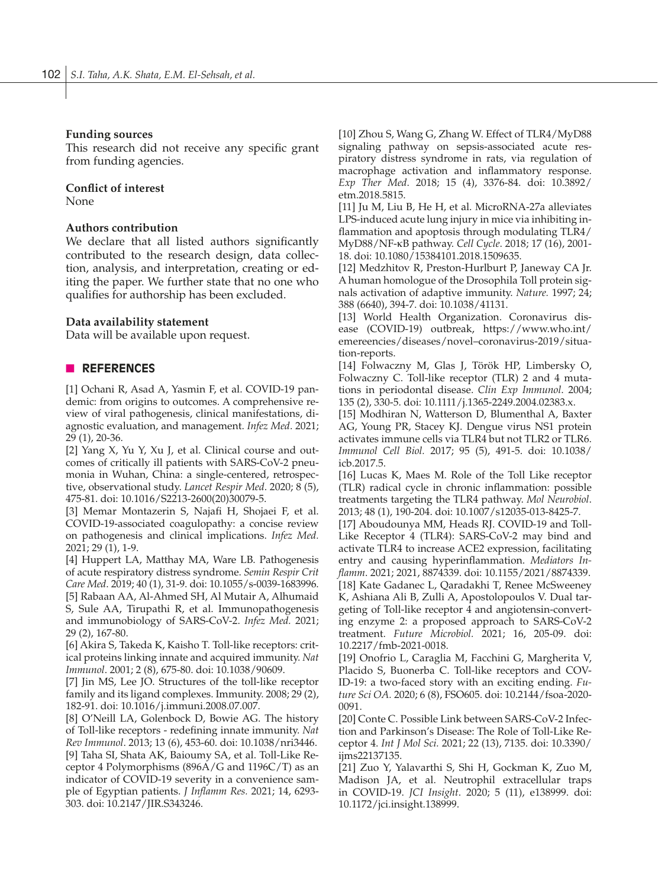## **Funding sources**

This research did not receive any specific grant from funding agencies.

## **Conflict of interest**

None

# **Authors contribution**

We declare that all listed authors significantly contributed to the research design, data collection, analysis, and interpretation, creating or editing the paper. We further state that no one who qualifies for authorship has been excluded.

## **Data availability statement**

Data will be available upon request.

## n **REFERENCES**

[1] Ochani R, Asad A, Yasmin F, et al. COVID-19 pandemic: from origins to outcomes. A comprehensive review of viral pathogenesis, clinical manifestations, diagnostic evaluation, and management. *Infez Med*. 2021; 29 (1), 20-36.

[2] Yang X, Yu Y, Xu J, et al. Clinical course and outcomes of critically ill patients with SARS-CoV-2 pneumonia in Wuhan, China: a single-centered, retrospective, observational study. *Lancet Respir Med*. 2020; 8 (5), 475-81. doi: 10.1016/S2213-2600(20)30079-5.

[3] Memar Montazerin S, Najafi H, Shojaei F, et al. COVID-19-associated coagulopathy: a concise review on pathogenesis and clinical implications. *Infez Med.* 2021; 29 (1), 1-9.

[4] Huppert LA, Matthay MA, Ware LB. Pathogenesis of acute respiratory distress syndrome. *Semin Respir Crit Care Med*. 2019; 40 (1), 31-9. doi: 10.1055/s-0039-1683996. [5] Rabaan AA, Al-Ahmed SH, Al Mutair A, Alhumaid S, Sule AA, Tirupathi R, et al. Immunopathogenesis and immunobiology of SARS-CoV-2. *Infez Med.* 2021; 29 (2), 167-80.

[6] Akira S, Takeda K, Kaisho T. Toll-like receptors: critical proteins linking innate and acquired immunity. *Nat Immunol*. 2001; 2 (8), 675-80. doi: 10.1038/90609.

[7] Jin MS, Lee JO. Structures of the toll-like receptor family and its ligand complexes. Immunity. 2008; 29 (2), 182-91. doi: 10.1016/j.immuni.2008.07.007.

[8] O'Neill LA, Golenbock D, Bowie AG. The history of Toll-like receptors - redefining innate immunity. *Nat Rev Immunol*. 2013; 13 (6), 453-60. doi: 10.1038/nri3446. [9] Taha SI, Shata AK, Baioumy SA, et al. Toll-Like Receptor 4 Polymorphisms (896A/G and 1196C/T) as an indicator of COVID-19 severity in a convenience sample of Egyptian patients. *J Inflamm Res.* 2021; 14, 6293- 303. doi: 10.2147/JIR.S343246.

[10] Zhou S, Wang G, Zhang W. Effect of TLR4/MyD88 signaling pathway on sepsis-associated acute respiratory distress syndrome in rats, via regulation of macrophage activation and inflammatory response. *Exp Ther Med*. 2018; 15 (4), 3376-84. doi: 10.3892/ etm.2018.5815.

[11] Ju M, Liu B, He H, et al. MicroRNA-27a alleviates LPS-induced acute lung injury in mice via inhibiting inflammation and apoptosis through modulating TLR4/ MyD88/NF-κB pathway. *Cell Cycle*. 2018; 17 (16), 2001- 18. doi: 10.1080/15384101.2018.1509635.

[12] Medzhitov R, Preston-Hurlburt P, Janeway CA Jr. A human homologue of the Drosophila Toll protein signals activation of adaptive immunity. *Nature.* 1997; 24; 388 (6640), 394-7. doi: 10.1038/41131.

[13] World Health Organization. Coronavirus disease (COVID-19) outbreak, https://www.who.int/ emereencies/diseases/novel–coronavirus-2019/situation-reports.

[14] Folwaczny M, Glas J, Török HP, Limbersky O, Folwaczny C. Toll-like receptor (TLR) 2 and 4 mutations in periodontal disease. *Clin Exp Immunol*. 2004; 135 (2), 330-5. doi: 10.1111/j.1365-2249.2004.02383.x.

[15] Modhiran N, Watterson D, Blumenthal A, Baxter AG, Young PR, Stacey KJ. Dengue virus NS1 protein activates immune cells via TLR4 but not TLR2 or TLR6. *Immunol Cell Biol.* 2017; 95 (5), 491-5. doi: 10.1038/ icb.2017.5.

[16] Lucas K, Maes M. Role of the Toll Like receptor (TLR) radical cycle in chronic inflammation: possible treatments targeting the TLR4 pathway. *Mol Neurobiol*. 2013; 48 (1), 190-204. doi: 10.1007/s12035-013-8425-7.

[17] Aboudounya MM, Heads RJ. COVID-19 and Toll-Like Receptor 4 (TLR4): SARS-CoV-2 may bind and activate TLR4 to increase ACE2 expression, facilitating entry and causing hyperinflammation. *Mediators Inflamm*. 2021; 2021, 8874339. doi: 10.1155/2021/8874339. [18] Kate Gadanec L, Qaradakhi T, Renee McSweeney K, Ashiana Ali B, Zulli A, Apostolopoulos V. Dual targeting of Toll-like receptor 4 and angiotensin-converting enzyme 2: a proposed approach to SARS-CoV-2 treatment. *Future Microbiol.* 2021; 16, 205-09. doi: 10.2217/fmb-2021-0018.

[19] Onofrio L, Caraglia M, Facchini G, Margherita V, Placido S, Buonerba C. Toll-like receptors and COV-ID-19: a two-faced story with an exciting ending. *Future Sci OA.* 2020; 6 (8), FSO605. doi: 10.2144/fsoa-2020- 0091.

[20] Conte C. Possible Link between SARS-CoV-2 Infection and Parkinson's Disease: The Role of Toll-Like Receptor 4. *Int J Mol Sci.* 2021; 22 (13), 7135. doi: 10.3390/ ijms22137135.

[21] Zuo Y, Yalavarthi S, Shi H, Gockman K, Zuo M, Madison JA, et al. Neutrophil extracellular traps in COVID-19. *JCI Insight*. 2020; 5 (11), e138999. doi: 10.1172/jci.insight.138999.